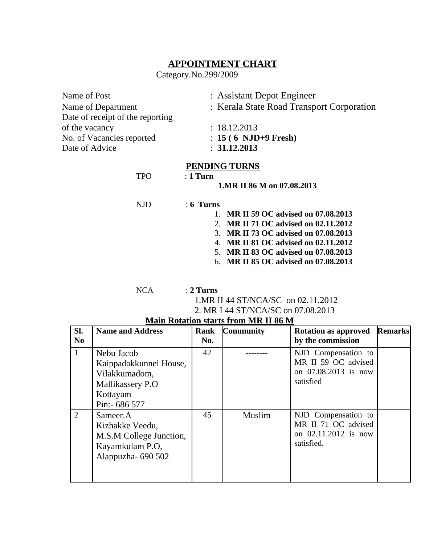## **APPOINTMENT CHART**

Category.No.299/2009

| Name of Post                     | : Assistant Depot Engineer                |
|----------------------------------|-------------------------------------------|
| Name of Department               | : Kerala State Road Transport Corporation |
| Date of receipt of the reporting |                                           |
| of the vacancy                   | : 18.12.2013                              |
| No. of Vacancies reported        | $: 15(6 \text{ NJD+9}$ Fresh)             |
| Date of Advice                   | : 31.12.2013                              |
|                                  |                                           |

#### **PENDING TURNS**

TPO : **1 Turn**

**1.MR II 86 M on 07.08.2013**

#### NJD : **6 Turns**

- 1. **MR II 59 OC advised on 07.08.2013** 2. **MR II 71 OC advised on 02.11.2012**
- 3. **MR II 73 OC advised on 07.08.2013**
- 4. **MR II 81 OC advised on 02.11.2012**
- 5. **MR II 83 OC advised on 07.08.2013**
- 6. **MR II 85 OC advised on 07.08.2013**

NCA : **2 Turns**

1.MR II 44 ST/NCA/SC on 02.11.2012

2. MR I 44 ST/NCA/SC on 07.08.2013

| SI.            | <b>Name and Address</b>                                                                                | Rank | <b>Community</b> | <b>Rotation as approved</b>                                                      | <b>Remarks</b> |
|----------------|--------------------------------------------------------------------------------------------------------|------|------------------|----------------------------------------------------------------------------------|----------------|
| N <sub>0</sub> |                                                                                                        | No.  |                  | by the commission                                                                |                |
| $\mathbf{1}$   | Nebu Jacob<br>Kaippadakkunnel House,<br>Vilakkumadom,<br>Mallikassery P.O<br>Kottayam<br>Pin:- 686 577 | 42   |                  | NJD Compensation to<br>MR II 59 OC advised<br>on 07.08.2013 is now<br>satisfied  |                |
| $\overline{2}$ | Sameer.A<br>Kizhakke Veedu,<br>M.S.M College Junction,<br>Kayamkulam P.O,<br>Alappuzha-690 502         | 45   | Muslim           | NJD Compensation to<br>MR II 71 OC advised<br>on 02.11.2012 is now<br>satisfied. |                |

### **Main Rotation starts from MR II 86 M**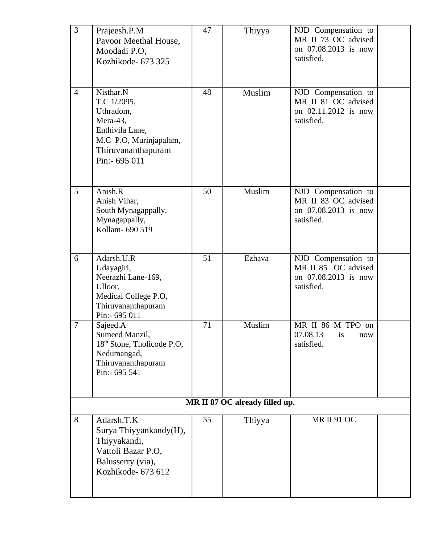| $\overline{3}$                 | Prajeesh.P.M<br>Pavoor Meethal House,<br>Moodadi P.O,<br>Kozhikode- 673 325                                                            | 47 | Thiyya | NJD Compensation to<br>MR II 73 OC advised<br>on 07.08.2013 is now<br>satisfied. |  |  |
|--------------------------------|----------------------------------------------------------------------------------------------------------------------------------------|----|--------|----------------------------------------------------------------------------------|--|--|
| $\overline{4}$                 | Nisthar.N<br>T.C 1/2095,<br>Uthradom,<br>Mera-43,<br>Enthivila Lane,<br>M.C P.O, Murinjapalam,<br>Thiruvananthapuram<br>Pin: - 695 011 | 48 | Muslim | NJD Compensation to<br>MR II 81 OC advised<br>on 02.11.2012 is now<br>satisfied. |  |  |
| 5                              | Anish.R<br>Anish Vihar,<br>South Mynagappally,<br>Mynagappally,<br>Kollam- 690 519                                                     | 50 | Muslim | NJD Compensation to<br>MR II 83 OC advised<br>on 07.08.2013 is now<br>satisfied. |  |  |
| 6                              | Adarsh.U.R<br>Udayagiri,<br>Neerazhi Lane-169,<br>Ulloor,<br>Medical College P.O,<br>Thiruvananthapuram<br>Pin:- 695 011               | 51 | Ezhava | NJD Compensation to<br>MR II 85 OC advised<br>on 07.08.2013 is now<br>satisfied. |  |  |
| 7                              | Sajeed.A<br>Sumeed Manzil,<br>18 <sup>th</sup> Stone, Tholicode P.O,<br>Nedumangad,<br>Thiruvananthapuram<br>Pin:- 695 541             | 71 | Muslim | MR II 86 M TPO on<br>07.08.13 is<br>now<br>satisfied.                            |  |  |
| MR II 87 OC already filled up. |                                                                                                                                        |    |        |                                                                                  |  |  |
| 8                              | Adarsh.T.K<br>Surya Thiyyankandy(H),<br>Thiyyakandi,<br>Vattoli Bazar P.O,<br>Balusserry (via),<br>Kozhikode- 673 612                  | 55 | Thiyya | <b>MR II 91 OC</b>                                                               |  |  |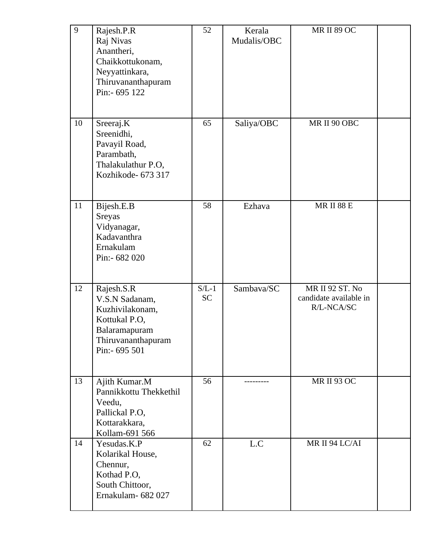| 9  | Rajesh.P.R<br>Raj Nivas<br>Anantheri,<br>Chaikkottukonam,<br>Neyyattinkara,<br>Thiruvananthapuram<br>Pin:- 695 122        | 52                   | Kerala<br>Mudalis/OBC | <b>MR II 89 OC</b>                                      |  |
|----|---------------------------------------------------------------------------------------------------------------------------|----------------------|-----------------------|---------------------------------------------------------|--|
| 10 | Sreeraj.K<br>Sreenidhi,<br>Pavayil Road,<br>Parambath,<br>Thalakulathur P.O,<br>Kozhikode- 673 317                        | 65                   | Saliya/OBC            | MR II 90 OBC                                            |  |
| 11 | Bijesh.E.B<br><b>Sreyas</b><br>Vidyanagar,<br>Kadavanthra<br>Ernakulam<br>Pin:- 682 020                                   | 58                   | Ezhava                | <b>MR II 88 E</b>                                       |  |
| 12 | Rajesh.S.R<br>V.S.N Sadanam,<br>Kuzhivilakonam,<br>Kottukal P.O,<br>Balaramapuram<br>Thiruvananthapuram<br>Pin: - 695 501 | $S/L-1$<br><b>SC</b> | Sambava/SC            | MR II 92 ST. No<br>candidate available in<br>R/L-NCA/SC |  |
| 13 | Ajith Kumar.M<br>Pannikkottu Thekkethil<br>Veedu,<br>Pallickal P.O,<br>Kottarakkara,<br>Kollam-691 566                    | 56                   |                       | <b>MR II 93 OC</b>                                      |  |
| 14 | Yesudas.K.P<br>Kolarikal House,<br>Chennur,<br>Kothad P.O,<br>South Chittoor,<br>Ernakulam- 682 027                       | 62                   | L.C                   | MR II 94 LC/AI                                          |  |